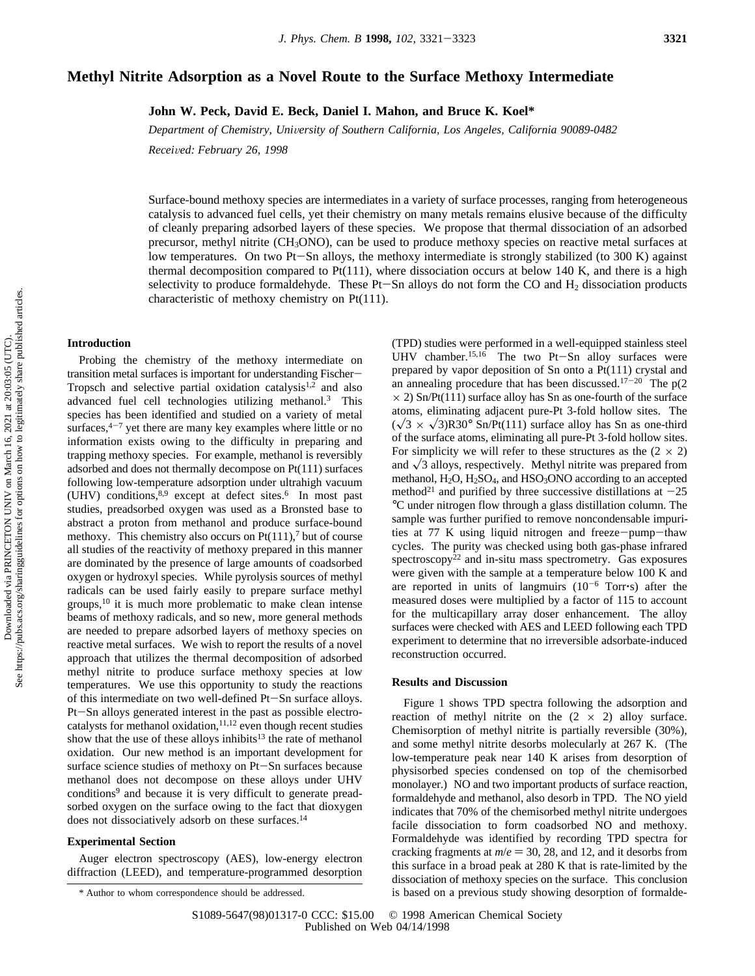# **Methyl Nitrite Adsorption as a Novel Route to the Surface Methoxy Intermediate**

**John W. Peck, David E. Beck, Daniel I. Mahon, and Bruce K. Koel\***

*Department of Chemistry, Uni*V*ersity of Southern California, Los Angeles, California 90089-0482*

*Recei*V*ed: February 26, 1998*

Surface-bound methoxy species are intermediates in a variety of surface processes, ranging from heterogeneous catalysis to advanced fuel cells, yet their chemistry on many metals remains elusive because of the difficulty of cleanly preparing adsorbed layers of these species. We propose that thermal dissociation of an adsorbed precursor, methyl nitrite (CH3ONO), can be used to produce methoxy species on reactive metal surfaces at low temperatures. On two Pt-Sn alloys, the methoxy intermediate is strongly stabilized (to 300 K) against thermal decomposition compared to  $Pt(111)$ , where dissociation occurs at below 140 K, and there is a high selectivity to produce formaldehyde. These Pt $-Sn$  alloys do not form the CO and  $H_2$  dissociation products characteristic of methoxy chemistry on Pt(111).

# **Introduction**

Probing the chemistry of the methoxy intermediate on transition metal surfaces is important for understanding Fischer-Tropsch and selective partial oxidation catalysis<sup>1,2</sup> and also advanced fuel cell technologies utilizing methanol.<sup>3</sup> This species has been identified and studied on a variety of metal surfaces, $4-7$  yet there are many key examples where little or no information exists owing to the difficulty in preparing and trapping methoxy species. For example, methanol is reversibly adsorbed and does not thermally decompose on Pt(111) surfaces following low-temperature adsorption under ultrahigh vacuum (UHV) conditions,  $8.9$  except at defect sites.<sup>6</sup> In most past studies, preadsorbed oxygen was used as a Bronsted base to abstract a proton from methanol and produce surface-bound methoxy. This chemistry also occurs on  $Pt(111)$ , but of course all studies of the reactivity of methoxy prepared in this manner are dominated by the presence of large amounts of coadsorbed oxygen or hydroxyl species. While pyrolysis sources of methyl radicals can be used fairly easily to prepare surface methyl groups,10 it is much more problematic to make clean intense beams of methoxy radicals, and so new, more general methods are needed to prepare adsorbed layers of methoxy species on reactive metal surfaces. We wish to report the results of a novel approach that utilizes the thermal decomposition of adsorbed methyl nitrite to produce surface methoxy species at low temperatures. We use this opportunity to study the reactions of this intermediate on two well-defined Pt-Sn surface alloys. Pt-Sn alloys generated interest in the past as possible electro-<br>catalysts for methanol oxidation,<sup>11,12</sup> even though recent studies show that the use of these alloys inhibits<sup>13</sup> the rate of methanol oxidation. Our new method is an important development for surface science studies of methoxy on Pt-Sn surfaces because methanol does not decompose on these alloys under UHV conditions<sup>9</sup> and because it is very difficult to generate preadsorbed oxygen on the surface owing to the fact that dioxygen does not dissociatively adsorb on these surfaces.<sup>14</sup>

## **Experimental Section**

Auger electron spectroscopy (AES), low-energy electron diffraction (LEED), and temperature-programmed desorption (TPD) studies were performed in a well-equipped stainless steel UHV chamber.<sup>15,16</sup> The two Pt-Sn alloy surfaces were prepared by vapor deposition of Sn onto a Pt(111) crystal and an annealing procedure that has been discussed.<sup>17-20</sup> The  $p(2)$  $\times$  2) Sn/Pt(111) surface alloy has Sn as one-fourth of the surface atoms, eliminating adjacent pure-Pt 3-fold hollow sites. The  $(\sqrt{3} \times \sqrt{3})R30^{\circ}$  Sn/Pt(111) surface alloy has Sn as one-third of the surface atoms, eliminating all pure-Pt 3-fold hollow sites. For simplicity we will refer to these structures as the  $(2 \times 2)$ and  $\sqrt{3}$  alloys, respectively. Methyl nitrite was prepared from methanol,  $H_2O$ ,  $H_2SO_4$ , and  $HSO_3ONO$  according to an accepted method<sup>21</sup> and purified by three successive distillations at  $-25$ °C under nitrogen flow through a glass distillation column. The sample was further purified to remove noncondensable impurities at 77 K using liquid nitrogen and freeze-pump-thaw cycles. The purity was checked using both gas-phase infrared spectroscopy<sup>22</sup> and in-situ mass spectrometry. Gas exposures were given with the sample at a temperature below 100 K and are reported in units of langmuirs  $(10^{-6}$  Torr $\cdot$ s) after the measured doses were multiplied by a factor of 115 to account for the multicapillary array doser enhancement. The alloy surfaces were checked with AES and LEED following each TPD experiment to determine that no irreversible adsorbate-induced reconstruction occurred.

#### **Results and Discussion**

Figure 1 shows TPD spectra following the adsorption and reaction of methyl nitrite on the  $(2 \times 2)$  alloy surface. Chemisorption of methyl nitrite is partially reversible (30%), and some methyl nitrite desorbs molecularly at 267 K. (The low-temperature peak near 140 K arises from desorption of physisorbed species condensed on top of the chemisorbed monolayer.) NO and two important products of surface reaction, formaldehyde and methanol, also desorb in TPD. The NO yield indicates that 70% of the chemisorbed methyl nitrite undergoes facile dissociation to form coadsorbed NO and methoxy. Formaldehyde was identified by recording TPD spectra for cracking fragments at  $m/e = 30$ , 28, and 12, and it desorbs from this surface in a broad peak at 280 K that is rate-limited by the dissociation of methoxy species on the surface. This conclusion \* Author to whom correspondence should be addressed. is based on a previous study showing desorption of formalde-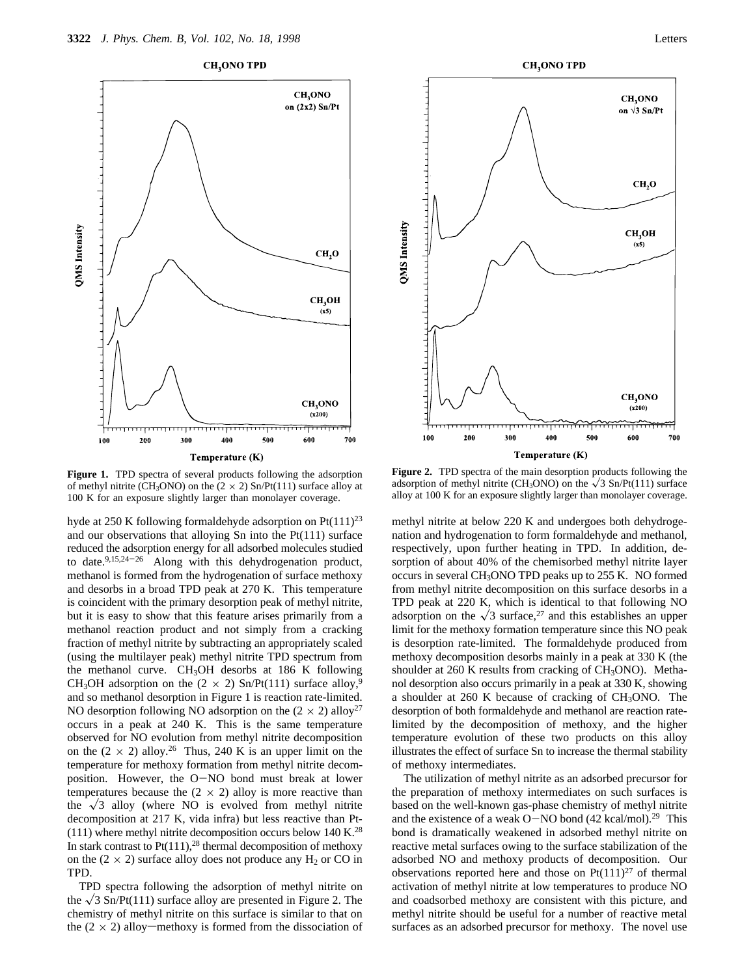

**Figure 1.** TPD spectra of several products following the adsorption of methyl nitrite (CH<sub>3</sub>ONO) on the (2  $\times$  2) Sn/Pt(111) surface alloy at 100 K for an exposure slightly larger than monolayer coverage.

hyde at 250 K following formaldehyde adsorption on  $Pt(111)^{23}$ and our observations that alloying Sn into the Pt(111) surface reduced the adsorption energy for all adsorbed molecules studied to date. $9,15,24-26$  Along with this dehydrogenation product, methanol is formed from the hydrogenation of surface methoxy and desorbs in a broad TPD peak at 270 K. This temperature is coincident with the primary desorption peak of methyl nitrite, but it is easy to show that this feature arises primarily from a methanol reaction product and not simply from a cracking fraction of methyl nitrite by subtracting an appropriately scaled (using the multilayer peak) methyl nitrite TPD spectrum from the methanol curve. CH<sub>3</sub>OH desorbs at 186 K following CH<sub>3</sub>OH adsorption on the (2  $\times$  2) Sn/Pt(111) surface alloy,<sup>9</sup> and so methanol desorption in Figure 1 is reaction rate-limited. NO desorption following NO adsorption on the  $(2 \times 2)$  alloy<sup>27</sup> occurs in a peak at 240 K. This is the same temperature observed for NO evolution from methyl nitrite decomposition on the  $(2 \times 2)$  alloy.<sup>26</sup> Thus, 240 K is an upper limit on the temperature for methoxy formation from methyl nitrite decomposition. However, the O-NO bond must break at lower temperatures because the  $(2 \times 2)$  alloy is more reactive than the  $\sqrt{3}$  alloy (where NO is evolved from methyl nitrite decomposition at 217 K, vida infra) but less reactive than Pt-  $(111)$  where methyl nitrite decomposition occurs below 140 K.<sup>28</sup> In stark contrast to  $Pt(111),^{28}$  thermal decomposition of methoxy on the  $(2 \times 2)$  surface alloy does not produce any H<sub>2</sub> or CO in TPD.

TPD spectra following the adsorption of methyl nitrite on the  $\sqrt{3}$  Sn/Pt(111) surface alloy are presented in Figure 2. The chemistry of methyl nitrite on this surface is similar to that on the  $(2 \times 2)$  alloy—methoxy is formed from the dissociation of





**Figure 2.** TPD spectra of the main desorption products following the adsorption of methyl nitrite (CH<sub>3</sub>ONO) on the  $\sqrt{3}$  Sn/Pt(111) surface alloy at 100 K for an exposure slightly larger than monolayer coverage.

methyl nitrite at below 220 K and undergoes both dehydrogenation and hydrogenation to form formaldehyde and methanol, respectively, upon further heating in TPD. In addition, desorption of about 40% of the chemisorbed methyl nitrite layer occurs in several CH3ONO TPD peaks up to 255 K. NO formed from methyl nitrite decomposition on this surface desorbs in a TPD peak at 220 K, which is identical to that following NO adsorption on the  $\sqrt{3}$  surface,<sup>27</sup> and this establishes an upper limit for the methoxy formation temperature since this NO peak is desorption rate-limited. The formaldehyde produced from methoxy decomposition desorbs mainly in a peak at 330 K (the shoulder at 260 K results from cracking of CH<sub>3</sub>ONO). Methanol desorption also occurs primarily in a peak at 330 K, showing a shoulder at 260 K because of cracking of CH3ONO. The desorption of both formaldehyde and methanol are reaction ratelimited by the decomposition of methoxy, and the higher temperature evolution of these two products on this alloy illustrates the effect of surface Sn to increase the thermal stability of methoxy intermediates.

The utilization of methyl nitrite as an adsorbed precursor for the preparation of methoxy intermediates on such surfaces is based on the well-known gas-phase chemistry of methyl nitrite and the existence of a weak O-NO bond  $(42 \text{ kcal/mol})$ .<sup>29</sup> This bond is dramatically weakened in adsorbed methyl nitrite on reactive metal surfaces owing to the surface stabilization of the adsorbed NO and methoxy products of decomposition. Our observations reported here and those on  $Pt(111)^{27}$  of thermal activation of methyl nitrite at low temperatures to produce NO and coadsorbed methoxy are consistent with this picture, and methyl nitrite should be useful for a number of reactive metal surfaces as an adsorbed precursor for methoxy. The novel use